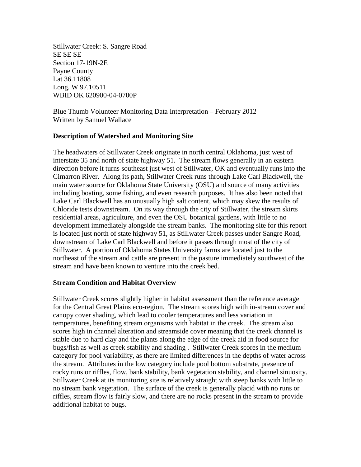Stillwater Creek: S. Sangre Road SE SE SE Section 17-19N-2E Payne County Lat 36.11808 Long. W 97.10511 WBID OK 620900-04-0700P

Blue Thumb Volunteer Monitoring Data Interpretation – February 2012 Written by Samuel Wallace

### **Description of Watershed and Monitoring Site**

The headwaters of Stillwater Creek originate in north central Oklahoma, just west of interstate 35 and north of state highway 51. The stream flows generally in an eastern direction before it turns southeast just west of Stillwater, OK and eventually runs into the Cimarron River. Along its path, Stillwater Creek runs through Lake Carl Blackwell, the main water source for Oklahoma State University (OSU) and source of many activities including boating, some fishing, and even research purposes. It has also been noted that Lake Carl Blackwell has an unusually high salt content, which may skew the results of Chloride tests downstream. On its way through the city of Stillwater, the stream skirts residential areas, agriculture, and even the OSU botanical gardens, with little to no development immediately alongside the stream banks. The monitoring site for this report is located just north of state highway 51, as Stillwater Creek passes under Sangre Road, downstream of Lake Carl Blackwell and before it passes through most of the city of Stillwater. A portion of Oklahoma States University farms are located just to the northeast of the stream and cattle are present in the pasture immediately southwest of the stream and have been known to venture into the creek bed.

### **Stream Condition and Habitat Overview**

Stillwater Creek scores slightly higher in habitat assessment than the reference average for the Central Great Plains eco-region. The stream scores high with in-stream cover and canopy cover shading, which lead to cooler temperatures and less variation in temperatures, benefiting stream organisms with habitat in the creek. The stream also scores high in channel alteration and streamside cover meaning that the creek channel is stable due to hard clay and the plants along the edge of the creek aid in food source for bugs/fish as well as creek stability and shading . Stillwater Creek scores in the medium category for pool variability, as there are limited differences in the depths of water across the stream. Attributes in the low category include pool bottom substrate, presence of rocky runs or riffles, flow, bank stability, bank vegetation stability, and channel sinuosity. Stillwater Creek at its monitoring site is relatively straight with steep banks with little to no stream bank vegetation. The surface of the creek is generally placid with no runs or riffles, stream flow is fairly slow, and there are no rocks present in the stream to provide additional habitat to bugs.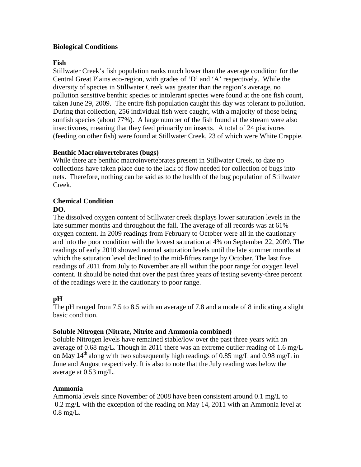## **Biological Conditions**

## **Fish**

Stillwater Creek's fish population ranks much lower than the average condition for the Central Great Plains eco-region, with grades of 'D' and 'A' respectively. While the diversity of species in Stillwater Creek was greater than the region's average, no pollution sensitive benthic species or intolerant species were found at the one fish count, taken June 29, 2009. The entire fish population caught this day was tolerant to pollution. During that collection, 256 individual fish were caught, with a majority of those being sunfish species (about 77%). A large number of the fish found at the stream were also insectivores, meaning that they feed primarily on insects. A total of 24 piscivores (feeding on other fish) were found at Stillwater Creek, 23 of which were White Crappie.

## **Benthic Macroinvertebrates (bugs)**

While there are benthic macroinvertebrates present in Stillwater Creek, to date no collections have taken place due to the lack of flow needed for collection of bugs into nets. Therefore, nothing can be said as to the health of the bug population of Stillwater Creek.

# **Chemical Condition**

## **DO.**

The dissolved oxygen content of Stillwater creek displays lower saturation levels in the late summer months and throughout the fall. The average of all records was at 61% oxygen content. In 2009 readings from February to October were all in the cautionary and into the poor condition with the lowest saturation at 4% on September 22, 2009. The readings of early 2010 showed normal saturation levels until the late summer months at which the saturation level declined to the mid-fifties range by October. The last five readings of 2011 from July to November are all within the poor range for oxygen level content. It should be noted that over the past three years of testing seventy-three percent of the readings were in the cautionary to poor range.

# **pH**

The pH ranged from 7.5 to 8.5 with an average of 7.8 and a mode of 8 indicating a slight basic condition.

## **Soluble Nitrogen (Nitrate, Nitrite and Ammonia combined)**

Soluble Nitrogen levels have remained stable/low over the past three years with an average of 0.68 mg/L. Though in 2011 there was an extreme outlier reading of 1.6 mg/L on May 14<sup>th</sup> along with two subsequently high readings of 0.85 mg/L and 0.98 mg/L in June and August respectively. It is also to note that the July reading was below the average at 0.53 mg/L.

## **Ammonia**

Ammonia levels since November of 2008 have been consistent around 0.1 mg/L to 0.2 mg/L with the exception of the reading on May 14, 2011 with an Ammonia level at 0.8 mg/L.